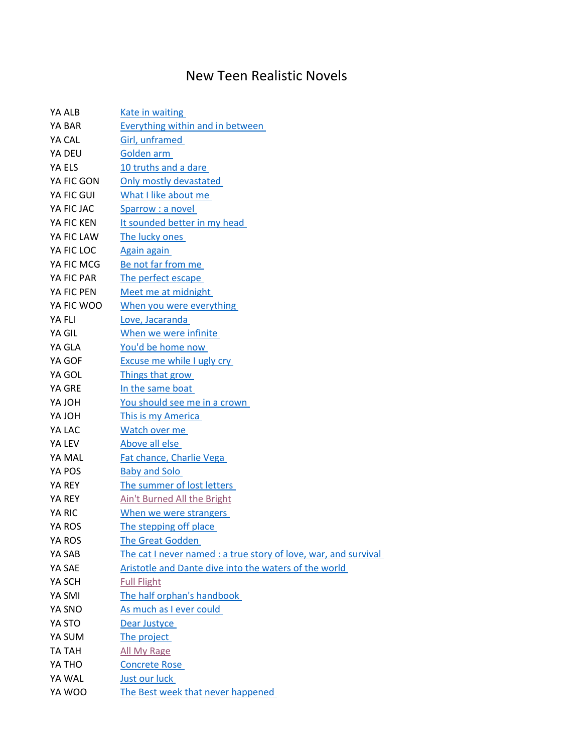## New Teen Realistic Novels

| YA ALB        | <b>Kate in waiting</b>                                          |
|---------------|-----------------------------------------------------------------|
| YA BAR        | <b>Everything within and in between</b>                         |
| YA CAL        | Girl, unframed                                                  |
| YA DEU        | Golden arm                                                      |
| YA ELS        | 10 truths and a dare                                            |
| YA FIC GON    | Only mostly devastated                                          |
| YA FIC GUI    | What I like about me                                            |
| YA FIC JAC    | Sparrow : a novel                                               |
| YA FIC KEN    | It sounded better in my head                                    |
| YA FIC LAW    | The lucky ones                                                  |
| YA FIC LOC    | <b>Again again</b>                                              |
| YA FIC MCG    | Be not far from me                                              |
| YA FIC PAR    | The perfect escape                                              |
| YA FIC PEN    | Meet me at midnight                                             |
| YA FIC WOO    | When you were everything                                        |
| YA FLI        | Love, Jacaranda                                                 |
| YA GIL        | When we were infinite                                           |
| YA GLA        | You'd be home now                                               |
| YA GOF        | <b>Excuse me while I ugly cry</b>                               |
| YA GOL        | Things that grow                                                |
| YA GRE        | In the same boat                                                |
| <b>HOLAY</b>  | You should see me in a crown                                    |
| <b>HOL AY</b> | This is my America                                              |
| YA LAC        | Watch over me                                                   |
| YA LEV        | Above all else                                                  |
| YA MAL        | Fat chance, Charlie Vega                                        |
| YA POS        | <b>Baby and Solo</b>                                            |
| YA REY        | The summer of lost letters                                      |
| YA REY        | Ain't Burned All the Bright                                     |
| YA RIC        | When we were strangers                                          |
| YA ROS        | The stepping off place                                          |
| YA ROS        | <b>The Great Godden</b>                                         |
| YA SAB        | The cat I never named : a true story of love, war, and survival |
| YA SAE        | Aristotle and Dante dive into the waters of the world           |
| YA SCH        | <b>Full Flight</b>                                              |
| YA SMI        | The half orphan's handbook                                      |
| YA SNO        | As much as I ever could                                         |
| YA STO        | Dear Justyce                                                    |
| YA SUM        | The project                                                     |
| TA TAH        | All My Rage                                                     |
| YA THO        | <b>Concrete Rose</b>                                            |
| YA WAL        | Just our luck                                                   |
| YA WOO        | The Best week that never happened                               |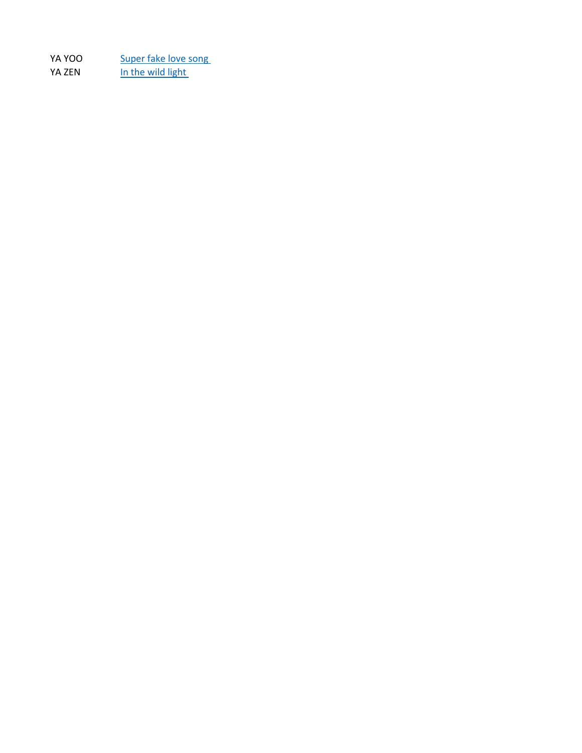YA YOO Super fake love song YA ZEN In the wild light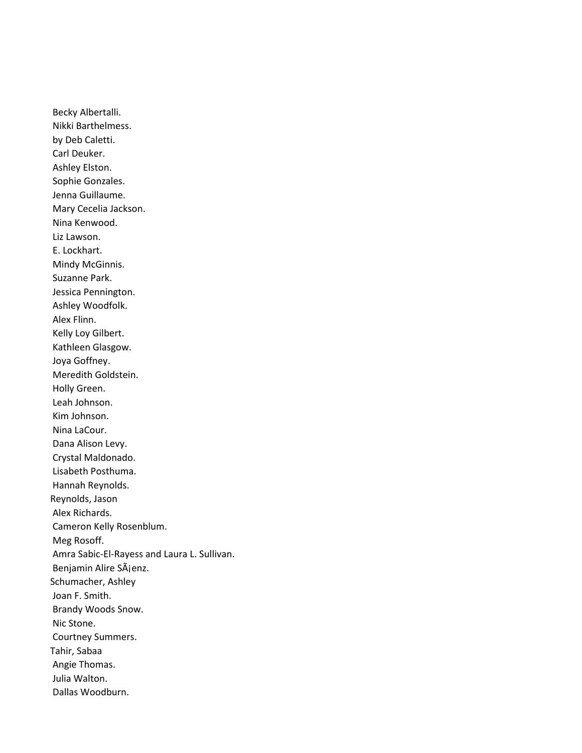Becky Albertalli. Nikki Barthelmess. by Deb Caletti. Carl Deuker. Ashley Elston. Sophie Gonzales. Jenna Guillaume. Mary Cecelia Jackson. Nina Kenwood. Liz Lawson. E. Lockhart. Mindy McGinnis. Suzanne Park. Jessica Pennington. Ashley Woodfolk. Alex Flinn. Kelly Loy Gilbert. Kathleen Glasgow. Joya Goffney. Meredith Goldstein. Holly Green. Leah Johnson. Kim Johnson. Nina LaCour. Dana Alison Levy. Crystal Maldonado. Lisabeth Posthuma. Hannah Reynolds. Reynolds, Jason Alex Richards. Cameron Kelly Rosenblum. Meg Rosoff. Amra Sabic-El-Rayess and Laura L. Sullivan. Benjamin Alire SÃjenz. Schumacher, Ashley Joan F. Smith. Brandy Woods Snow. Nic Stone. Courtney Summers. Tahir, Sabaa Angie Thomas. Julia Walton. Dallas Woodburn.